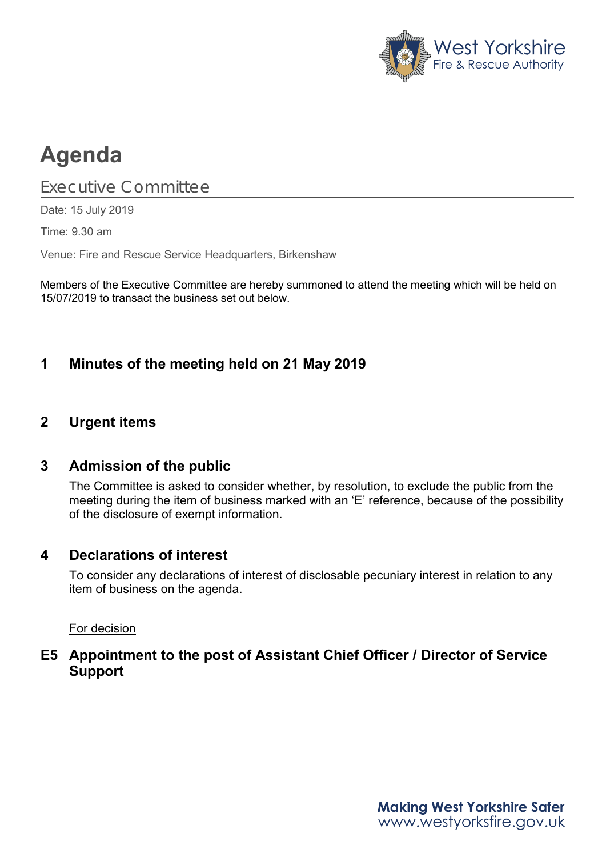

# **Agenda**

Executive Committee

Date: 15 July 2019

Time: 9.30 am

Venue: Fire and Rescue Service Headquarters, Birkenshaw

Members of the Executive Committee are hereby summoned to attend the meeting which will be held on 15/07/2019 to transact the business set out below.

## **1 Minutes of the meeting held on 21 May 2019**

### **2 Urgent items**

#### **3 Admission of the public**

The Committee is asked to consider whether, by resolution, to exclude the public from the meeting during the item of business marked with an 'E' reference, because of the possibility of the disclosure of exempt information.

#### **4 Declarations of interest**

To consider any declarations of interest of disclosable pecuniary interest in relation to any item of business on the agenda.

#### For decision

## **E5 Appointment to the post of Assistant Chief Officer / Director of Service Support**